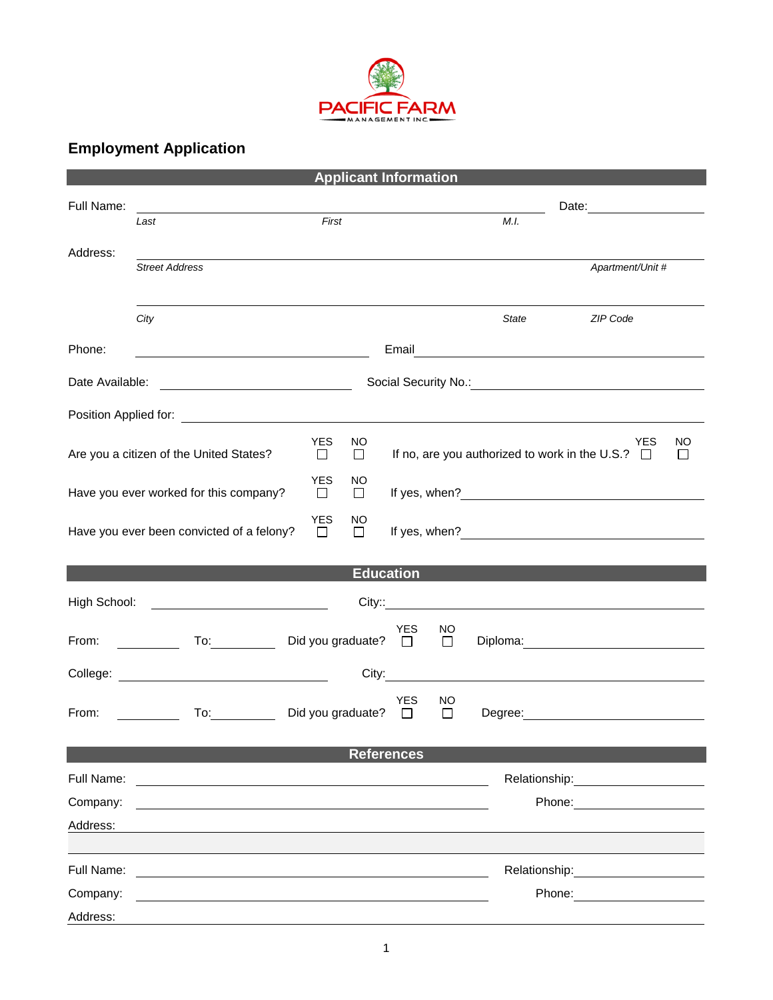

## **Employment Application**

|                                                                                                                                                                                                                                                                                       |                                                                                                                                                                                                                                                                 |                             |               | <b>Applicant Information</b> |              |                                                                     |                                                             |  |
|---------------------------------------------------------------------------------------------------------------------------------------------------------------------------------------------------------------------------------------------------------------------------------------|-----------------------------------------------------------------------------------------------------------------------------------------------------------------------------------------------------------------------------------------------------------------|-----------------------------|---------------|------------------------------|--------------|---------------------------------------------------------------------|-------------------------------------------------------------|--|
| Full Name:                                                                                                                                                                                                                                                                            | <u> 1989 - Johann Barn, mars ann an t-Amhain Aonaich an t-Aonaich an t-Aonaich an t-Aonaich an t-Aonaich an t-Aon</u>                                                                                                                                           |                             |               |                              |              |                                                                     | Date: <u>_______________________</u>                        |  |
|                                                                                                                                                                                                                                                                                       | Last                                                                                                                                                                                                                                                            | First                       |               |                              |              | M.I.                                                                |                                                             |  |
| Address:                                                                                                                                                                                                                                                                              | <b>Street Address</b>                                                                                                                                                                                                                                           |                             |               |                              |              |                                                                     | Apartment/Unit #                                            |  |
|                                                                                                                                                                                                                                                                                       |                                                                                                                                                                                                                                                                 |                             |               |                              |              |                                                                     |                                                             |  |
|                                                                                                                                                                                                                                                                                       | City                                                                                                                                                                                                                                                            |                             |               |                              |              | <b>State</b>                                                        | ZIP Code                                                    |  |
| Phone:                                                                                                                                                                                                                                                                                |                                                                                                                                                                                                                                                                 |                             |               |                              |              |                                                                     |                                                             |  |
| Date Available:<br><u> 2000 - Andrea Albert III, poet e pre</u> senta a la provincia de la provincia de la provincia de la provincia del                                                                                                                                              |                                                                                                                                                                                                                                                                 |                             |               |                              |              |                                                                     |                                                             |  |
|                                                                                                                                                                                                                                                                                       |                                                                                                                                                                                                                                                                 |                             |               |                              |              |                                                                     |                                                             |  |
| Are you a citizen of the United States?                                                                                                                                                                                                                                               | <b>YES</b><br>$\Box$                                                                                                                                                                                                                                            | NO<br>□                     |               |                              |              | <b>YES</b><br>If no, are you authorized to work in the U.S.? $\Box$ | NO<br>$\Box$                                                |  |
| Have you ever worked for this company?                                                                                                                                                                                                                                                |                                                                                                                                                                                                                                                                 |                             | NO<br>$\Box$  |                              |              |                                                                     |                                                             |  |
| Have you ever been convicted of a felony?                                                                                                                                                                                                                                             |                                                                                                                                                                                                                                                                 |                             | NO.<br>$\Box$ |                              |              |                                                                     | If yes, when? $\frac{1}{2}$                                 |  |
| <b>Education</b>                                                                                                                                                                                                                                                                      |                                                                                                                                                                                                                                                                 |                             |               |                              |              |                                                                     |                                                             |  |
| High School: ________________________________<br>City:: <u>City:: City:: City:: City:: City:: City:: City:: City:: City:: City:: City:: City:: City:: City:: City:: City:: City:: City:: City:: City:: City:: City:: City:: City:: City:: City:: City:: City:: City:: City:: City</u> |                                                                                                                                                                                                                                                                 |                             |               |                              |              |                                                                     |                                                             |  |
| From:                                                                                                                                                                                                                                                                                 | To: Did you graduate? □<br><u> The Common State State State State State State State State State State State State State State State State State State State State State State State State State State State State State State State State State State State</u> |                             |               | <b>YES</b>                   | NO<br>$\Box$ |                                                                     |                                                             |  |
| City:<br><u>and the state of the state of the state of the state of the state of the state of the state of the state of the state of the state of the state of the state of the state of the state of the state of the state of the state</u>                                         |                                                                                                                                                                                                                                                                 |                             |               |                              |              |                                                                     |                                                             |  |
| From:                                                                                                                                                                                                                                                                                 | To: the contract of the contract of the contract of the contract of the contract of the contract of the contract of the contract of the contract of the contract of the contract of the contract of the contract of the contra                                  | Did you graduate? $\square$ |               | YES.                         | NO<br>$\Box$ |                                                                     |                                                             |  |
| <b>References</b>                                                                                                                                                                                                                                                                     |                                                                                                                                                                                                                                                                 |                             |               |                              |              |                                                                     |                                                             |  |
| Full Name:                                                                                                                                                                                                                                                                            | <u> 1980 - Jan Samuel Barbara, margaret e populari e populari e populari e populari e populari e populari e popu</u>                                                                                                                                            |                             |               |                              |              |                                                                     | Relationship:<br><u> 1989 - Johann Barn, mars ann an t-</u> |  |
| Company:                                                                                                                                                                                                                                                                              |                                                                                                                                                                                                                                                                 |                             |               |                              |              |                                                                     | Phone: <u>________</u>                                      |  |
| Address:                                                                                                                                                                                                                                                                              |                                                                                                                                                                                                                                                                 |                             |               |                              |              |                                                                     |                                                             |  |
| Full Name:                                                                                                                                                                                                                                                                            |                                                                                                                                                                                                                                                                 |                             |               |                              |              |                                                                     |                                                             |  |
| Company:                                                                                                                                                                                                                                                                              | <u> 1989 - John Stein, Amerikaansk politiker (* 1989)</u>                                                                                                                                                                                                       |                             |               |                              |              |                                                                     | Relationship: 2000<br>Phone:                                |  |
| Address:                                                                                                                                                                                                                                                                              |                                                                                                                                                                                                                                                                 |                             |               |                              |              |                                                                     |                                                             |  |